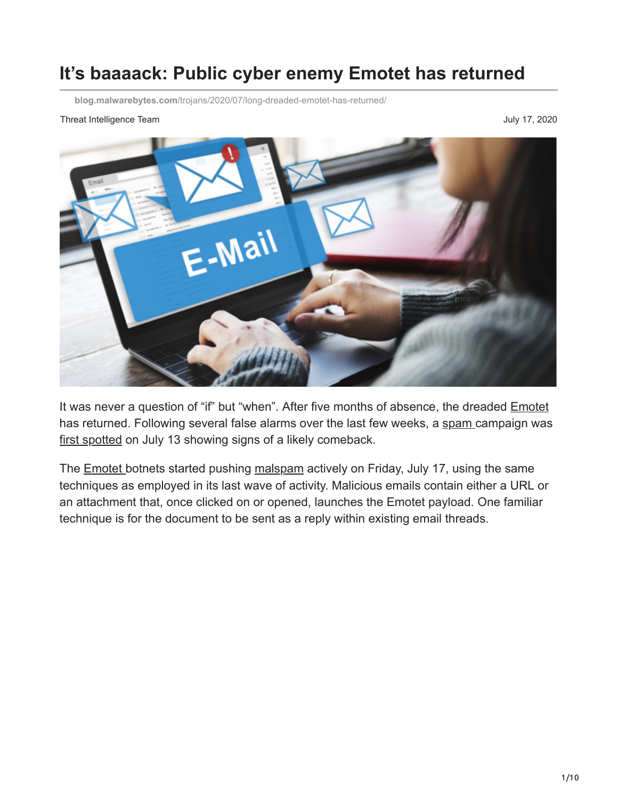## **It's baaaack: Public cyber enemy Emotet has returned**

**blog.malwarebytes.com**[/trojans/2020/07/long-dreaded-emotet-has-returned/](https://blog.malwarebytes.com/trojans/2020/07/long-dreaded-emotet-has-returned/)

#### Threat Intelligence Team July 17, 2020



It was never a question of "if" but "when". After five months of absence, the dreaded [Emotet](https://www.malwarebytes.com/emotet/) has returned. Following several false alarms over the last few weeks, a [spam](https://www.malwarebytes.com/spam/) campaign was [first spotted](https://twitter.com/spamhaus/status/1283412769979719680?s=20) on July 13 showing signs of a likely comeback.

The **Emotet** botnets started pushing [malspam](https://blog.malwarebytes.com/glossary/malspam/) actively on Friday, July 17, using the same techniques as employed in its last wave of activity. Malicious emails contain either a URL or an attachment that, once clicked on or opened, launches the Emotet payload. One familiar technique is for the document to be sent as a reply within existing email threads.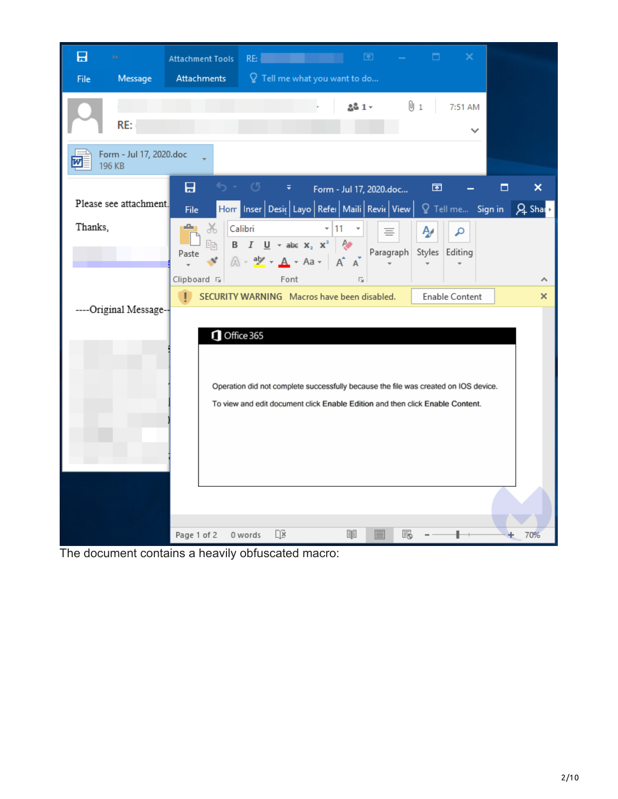| 日<br>Message<br>File              | 菌<br>□<br>×<br>RE:<br><b>Attachment Tools</b><br>○ Tell me what you want to do<br>Attachments                                                                                                             |
|-----------------------------------|-----------------------------------------------------------------------------------------------------------------------------------------------------------------------------------------------------------|
| RE:                               | [1] 1]<br>$281 -$<br>7:51 AM<br>$\checkmark$                                                                                                                                                              |
| Form - Jul 17, 2020.doc<br>196 KB |                                                                                                                                                                                                           |
| Please see attachment.            | 日<br>- 0<br>困<br>×<br>$\overline{\Psi}$ .<br>Form - Jul 17, 2020.doc<br>□<br>Hom Inser Desic Layo Refer Maili Revic View<br>$Q$ Tell me Sign in<br>$Q_2$ Shap<br><b>File</b>                              |
| Thanks,                           | л.<br>$\frac{1}{26}$<br>Calibri<br>- 11<br>Ą۸<br>م<br>亖<br>B $I \cup$ $\bullet$ abe $X_2 \times^2$ $\uparrow$<br>睡<br>Paragraph<br>Styles Editing<br>Paste<br>$A - \frac{a}{2} - A - A - \frac{a}{2} - A$ |
|                                   | Clipboard <sub>Is</sub><br>Font<br>$\overline{\mathbf{G}}$<br>ᄉ<br>SECURITY WARNING Macros have been disabled.<br>п<br>Enable Content<br>×                                                                |
| ----Original Message--            | Office 365<br>Operation did not complete successfully because the file was created on IOS device.<br>To view and edit document click Enable Edition and then click Enable Content.                        |
|                                   | $\Box$<br>圍<br>F.<br>70%<br>Page 1 of 2<br>0 words                                                                                                                                                        |

The document contains a heavily obfuscated macro: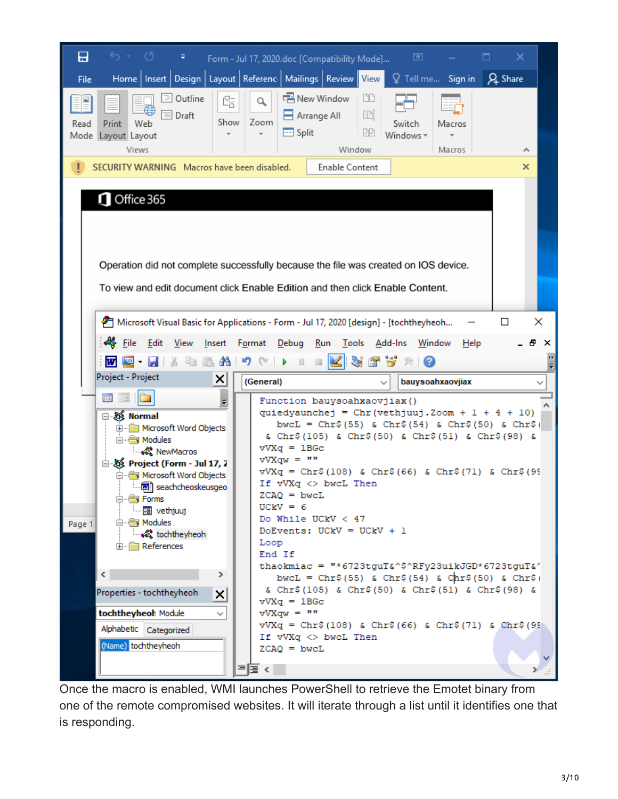| 日<br>৩ - ৩<br>₹                                                                                                                                                                                                                                                                                                                                                                                                                                        | Form - Jul 17, 2020.doc [Compatibility Mode]                                                                                                                                                                                                                                       | ×<br>囨<br>□                                                                                                                                                                                                                                                                                                                                                                                                                                                            |                  |
|--------------------------------------------------------------------------------------------------------------------------------------------------------------------------------------------------------------------------------------------------------------------------------------------------------------------------------------------------------------------------------------------------------------------------------------------------------|------------------------------------------------------------------------------------------------------------------------------------------------------------------------------------------------------------------------------------------------------------------------------------|------------------------------------------------------------------------------------------------------------------------------------------------------------------------------------------------------------------------------------------------------------------------------------------------------------------------------------------------------------------------------------------------------------------------------------------------------------------------|------------------|
| File                                                                                                                                                                                                                                                                                                                                                                                                                                                   | Home   Insert   Design   Layout   Referenc   Mailings   Review   View                                                                                                                                                                                                              | $\mathsf Q$ Tell me<br>Q Share<br>Sign in                                                                                                                                                                                                                                                                                                                                                                                                                              |                  |
| <sup>≔</sup> Outline<br>咯<br>≘<br>$\equiv$<br>Draft<br>Show<br>Print<br>Read<br>Web<br>Mode Layout Layout<br>Views                                                                                                                                                                                                                                                                                                                                     | Rew Window<br>$\mathsf{Q}_\bullet$<br>$\Box$ Arrange All<br>Zoom<br>$\equiv$ Split<br>$\overline{\mathbf{v}}$<br>Window                                                                                                                                                            | ĽD<br>画<br>Switch<br>Macros<br>晒<br>Windows *<br>Macros<br>ᄉ                                                                                                                                                                                                                                                                                                                                                                                                           |                  |
| SECURITY WARNING Macros have been disabled.                                                                                                                                                                                                                                                                                                                                                                                                            | Enable Content                                                                                                                                                                                                                                                                     | ×                                                                                                                                                                                                                                                                                                                                                                                                                                                                      |                  |
| Office 365<br>Operation did not complete successfully because the file was created on IOS device.<br>To view and edit document click Enable Edition and then click Enable Content.                                                                                                                                                                                                                                                                     |                                                                                                                                                                                                                                                                                    |                                                                                                                                                                                                                                                                                                                                                                                                                                                                        |                  |
| an Microsoft Visual Basic for Applications - Form - Jul 17, 2020 [design] - [tochtheyheoh<br>< File<br>Edit<br>View<br>Insert<br>æ<br>w<br>$\mathbb{E}$ .                                                                                                                                                                                                                                                                                              | Debug<br>Format<br>Run<br>$\mathbf I$ ools<br>יי) (ש<br>∣⇒<br>w                                                                                                                                                                                                                    | П<br><u>A</u> dd-Ins<br>Window<br>$He$ lp<br>-KST5×0                                                                                                                                                                                                                                                                                                                                                                                                                   | ×<br>×<br>n<br>F |
| Project - Project<br>×                                                                                                                                                                                                                                                                                                                                                                                                                                 | (General)                                                                                                                                                                                                                                                                          | bauysoahxaovjiax                                                                                                                                                                                                                                                                                                                                                                                                                                                       |                  |
| 圍<br>$\overline{\star}$<br>⊟⊹&≸ Normal<br>in Microsoft Word Objects<br>白 图 Modules<br>ं « NewMacros<br><b>&amp; Project (Form - Jul 17, 2</b><br>in Solicity Microsoft Word Objects<br><b>i函</b> ) seachcheoskeusgeo<br><b>⊟</b> Forms<br><b>图 vethjuuj</b><br>□ Modules<br>Page 1<br>tochtheyheoh<br>E References<br>∢<br>⋗<br>Properties - tochtheyheoh<br>×<br>tochtheyheoh Module<br>$\checkmark$<br>Alphabetic Categorized<br>(Name) tochtheyheoh | Function bauysoahxaovjiax()<br>$vVXq = 1BGC$<br>$vVXqW = m$<br>If $vVXq \Leftrightarrow bwcL$ Then<br>ZCAQ = bwcL<br>$UCKV = 6$<br>Do While UCkV < 47<br>DoEvents: UCkV = UCkV + 1<br>Loop<br>End If<br>$vVX\sigma = 1BGC$<br>$vVXqW = m$<br>If vVXq <> bwcL Then<br>$ZCAQ = bwcL$ | quiedyaunchej = $Chr (vethjuuj . Zoom + 1 + 4 + 10)$<br>bwcL = Chr\$(55) & Chr\$(54) & Chr\$(50) & Chr\$(<br>& Chr\$(105) & Chr\$(50) & Chr\$(51) & Chr\$(98) &<br>$vVXq = Chr$ \$(108) & Chr\$(66) & Chr\$(71) & Chr\$(99<br>thaokmiac = "*6723tguT&^\$^RFy23uikJGD*6723tguT&^<br>bwcL = $Chr$ \$ (55) & $Chr$ \$ (54) & $Chr$ \$ (50) & $Chr$ \$ (<br>& Chr\$(105) & Chr\$(50) & Chr\$(51) & Chr\$(98) &<br>$vVXq = Chr$ \$(108) & Chr\$(66) & Chr\$(71) & Chr\$(95) |                  |

Once the macro is enabled, WMI launches PowerShell to retrieve the Emotet binary from one of the remote compromised websites. It will iterate through a list until it identifies one that is responding.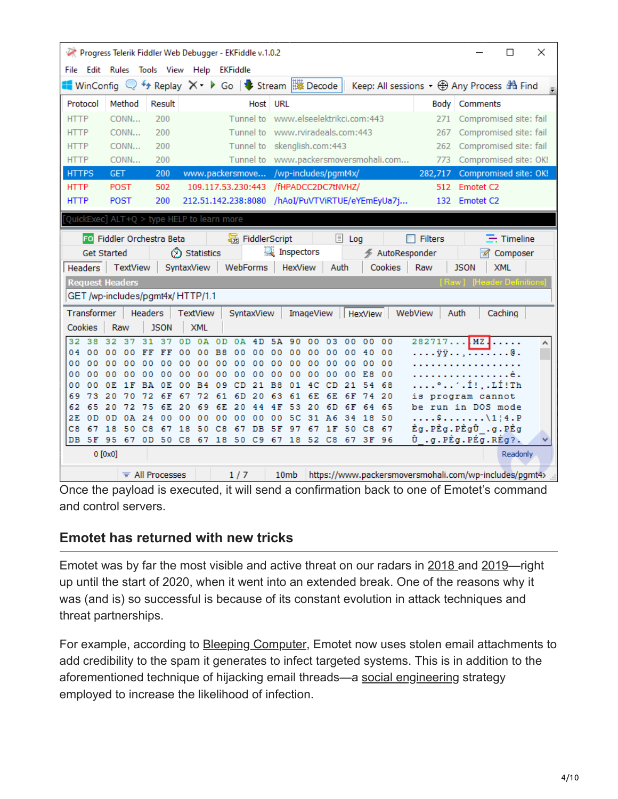|                                   | Progress Telerik Fiddler Web Debugger - EKFiddle v.1.0.2                                       |                         |                          |                                       |                        |                             |                             |              |                                                 |                                                                     |             |                           | □                 | × |
|-----------------------------------|------------------------------------------------------------------------------------------------|-------------------------|--------------------------|---------------------------------------|------------------------|-----------------------------|-----------------------------|--------------|-------------------------------------------------|---------------------------------------------------------------------|-------------|---------------------------|-------------------|---|
|                                   | File Edit Rules Tools View Help EKFiddle                                                       |                         |                          |                                       |                        |                             |                             |              |                                                 |                                                                     |             |                           |                   |   |
|                                   | ■ WinConfig Q + Replay $X - \triangleright$ Go $ \cdot\cdot\cdot $ Stream $\frac{m}{n}$ Decode |                         |                          |                                       |                        |                             |                             |              |                                                 | Keep: All sessions $\cdot$ $\bigoplus$ Any Process $\bigoplus$ Find |             |                           |                   |   |
| Protocol                          | Method                                                                                         | Result                  |                          |                                       | Host URL               |                             |                             |              |                                                 |                                                                     |             | Body   Comments           |                   |   |
| <b>HTTP</b>                       | CONN                                                                                           | 200                     |                          | Tunnel to                             |                        |                             | www.elseelektrikci.com:443  |              |                                                 | 271                                                                 |             | Compromised site: fail    |                   |   |
| <b>HTTP</b>                       | CONN                                                                                           | 200                     |                          | Tunnel to                             |                        |                             | www.rviradeals.com:443      |              |                                                 | 267                                                                 |             | Compromised site: fail    |                   |   |
| <b>HTTP</b>                       | CONN                                                                                           | 200                     |                          |                                       |                        |                             | Tunnel to skenglish.com:443 |              |                                                 | 262                                                                 |             | Compromised site: fail    |                   |   |
| <b>HTTP</b>                       | CONN                                                                                           | 200                     |                          |                                       |                        |                             |                             |              | Tunnel to www.packersmoversmohali.com           | 773                                                                 |             | Compromised site: OK!     |                   |   |
| <b>HTTPS</b>                      | GET.                                                                                           | 200                     |                          | www.packersmove /wp-includes/pgmt4x/  |                        |                             |                             |              |                                                 | 282,717                                                             |             | Compromised site: OK!     |                   |   |
| <b>HTTP</b>                       | <b>POST</b>                                                                                    | 502                     |                          | 109.117.53.230:443 /fHPADCC2DC7tNVHZ/ |                        |                             |                             |              |                                                 |                                                                     | 512         | Emotet <sub>C2</sub>      |                   |   |
| <b>HTTP</b>                       | <b>POST</b>                                                                                    | 200                     |                          |                                       |                        |                             |                             |              | 212.51.142.238:8080 /hAoI/PuVTViRTUE/eYEmEyUa7j |                                                                     |             | 132 Emotet C2             |                   |   |
|                                   | QuickExec] ALT+Q > type HELP to learn more                                                     |                         |                          |                                       |                        |                             |                             |              |                                                 |                                                                     |             |                           |                   |   |
|                                   | FO Fiddler Orchestra Beta                                                                      |                         |                          |                                       | <b>暴</b> FiddlerScript |                             |                             | <b>国</b> Log |                                                 | $\Box$ Filters                                                      |             |                           | $\equiv$ Timeline |   |
|                                   | <b>Get Started</b>                                                                             |                         | Statistics               |                                       |                        | Inspectors                  |                             |              |                                                 | ← AutoResponder                                                     |             | M                         | Composer          |   |
| <b>Headers</b>                    | TextView                                                                                       |                         | SyntaxView               | WebForms                              |                        | <b>HexView</b>              |                             | Auth         | Cookies                                         | Raw                                                                 | <b>JSON</b> |                           | <b>XML</b>        |   |
|                                   | <b>Request Headers</b>                                                                         |                         |                          |                                       |                        |                             |                             |              |                                                 |                                                                     |             | <b>Header Definitions</b> |                   |   |
|                                   | GET /wp-includes/pgmt4x/HTTP/1.1                                                               |                         |                          |                                       |                        |                             |                             |              |                                                 |                                                                     |             |                           |                   |   |
| Transformer                       |                                                                                                | Headers                 | <b>TextView</b>          |                                       | SyntaxView             |                             | ImageView                   |              | <b>HexView</b>                                  | WebView                                                             | Auth        |                           | Caching           |   |
| Cookies                           | Raw                                                                                            | <b>JSON</b>             | <b>XML</b>               |                                       |                        |                             |                             |              |                                                 |                                                                     |             |                           |                   |   |
| 38<br>32                          | 32<br>37                                                                                       | 31<br>37                | 0 <sub>D</sub><br>0A     | 0 <sub>D</sub><br>0A                  | 4D                     | 5A<br>90                    | 00<br>03                    | 00           | 00<br>00                                        |                                                                     |             | $282717$ MZ               |                   |   |
| 04<br>00                          | 00<br>00                                                                                       | FF<br>FF                | 00<br>00                 | 0 <sub>0</sub><br>B8                  | 00                     | 00<br>00                    | 00<br>00                    | 00           | 00<br>40                                        |                                                                     |             | . <del>.</del> 0          |                   |   |
| 00<br>00                          | 00<br>00                                                                                       | 00<br>00                | 00<br>00                 | 00<br>00                              | 00                     | 0 <sub>0</sub><br>00        | 00<br>00                    | 00           | 00<br>00                                        |                                                                     |             |                           |                   |   |
| 00<br>00<br>0 <sub>0</sub><br>o o | 0<br>00<br>o<br>1 F<br>0E.                                                                     | 0<br>0<br>0<br>RA<br>OΕ | 00<br>00<br>в<br>00<br>4 | 00<br>00<br>CD<br>0<br>۹              | 00<br>21               | 00<br>00<br><b>B8</b><br>01 | 00<br>00<br>CD<br>4 C       | 00<br>21     | E8<br>00<br>68<br>4                             |                                                                     |             | °´.Í!,.LÍ!Th              |                   |   |
| 69<br>73                          | 20<br>70                                                                                       | 6 F                     | 67<br>72                 | 61<br>6 D                             | 20                     | 63<br>61                    | 6E<br>6E                    | 6 F          | 20                                              | iз                                                                  |             | program cannot            |                   |   |
| 65<br>62                          | 20<br>72                                                                                       | 6E<br>75                | 20<br>69                 | 20<br>6E                              | 44                     | 4 F<br>5<br>з               | 20<br>6 D                   | 6 F          | 65<br>4<br>6                                    | be                                                                  |             | run in DOS mode           |                   |   |
| 0 <sub>D</sub><br>2E              | 0 <sub>D</sub><br>0A                                                                           | 24<br>00                | 00<br>00                 | 00<br>00                              | 00                     | 00<br>5<br>c                | 31<br>A6                    | 34           | 18<br>50                                        |                                                                     |             | $$ \$\1¦4.P               |                   |   |
| C8<br>67                          | 50<br>18                                                                                       | cя<br>6<br>7            | 18<br>50                 | CВ<br>6<br>7                          | DВ                     | 5 F<br>9<br>7               | 6<br>1 F<br>7               | 50           | 67<br>C8                                        | Èg.PÈg.PÈgÛ.g.PÈg                                                   |             |                           |                   |   |
| DB 5F 95                          | - 67                                                                                           | 0D                      |                          | 50 C8 67 18 50 C9 67                  |                        |                             | 18 52 C8                    |              | 67 3F 96                                        | Û .g.PÈg.PÉg.RÈg?.                                                  |             |                           |                   | v |
|                                   | $0$ [0x0]                                                                                      |                         |                          |                                       |                        |                             |                             |              |                                                 |                                                                     |             |                           | Readonly          |   |
|                                   |                                                                                                | $\equiv$ All Processes  |                          | 1/7                                   |                        | 10 <sub>mb</sub>            |                             |              |                                                 | https://www.packersmoversmohali.com/wp-includes/pgmt4>              |             |                           |                   |   |

Once the payload is executed, it will send a confirmation back to one of Emotet's command and control servers.

## **Emotet has returned with new tricks**

Emotet was by far the most visible and active threat on our radars in [2018 a](https://blog.malwarebytes.com/cybercrime/2018/09/emotet-rise-heavy-spam-campaign/)nd [2019—](https://blog.malwarebytes.com/cybercrime/2019/03/emotet-revisited-this-pervasive-persistent-threat-is-still-a-danger-to-businesses/)right up until the start of 2020, when it went into an extended break. One of the reasons why it was (and is) so successful is because of its constant evolution in attack techniques and threat partnerships.

For example, according to **Bleeping Computer**, Emotet now uses stolen email attachments to add credibility to the spam it generates to infect targeted systems. This is in addition to the aforementioned technique of hijacking email threads—a [social engineering](https://blog.malwarebytes.com/cybercrime/social-engineering-cybercrime/2018/08/social-engineering-attacks-what-makes-you-susceptible/) strategy employed to increase the likelihood of infection.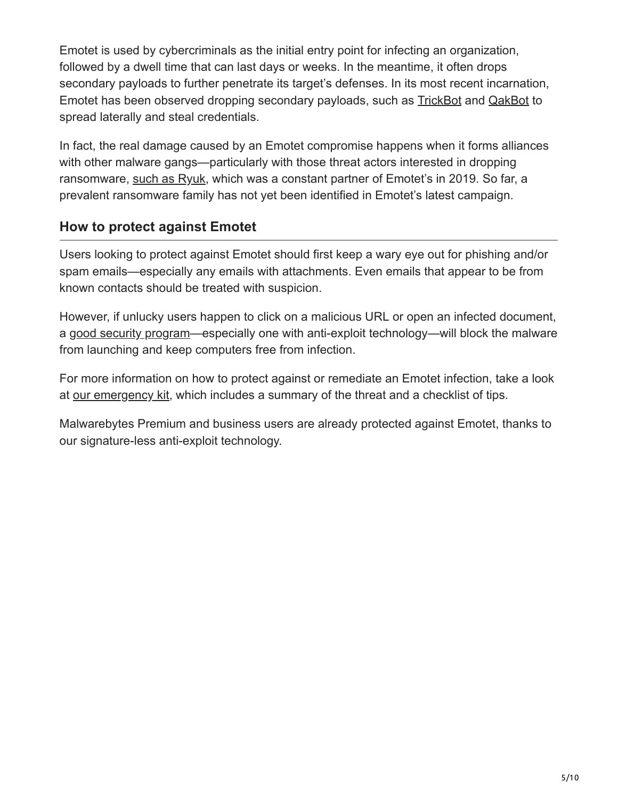Emotet is used by cybercriminals as the initial entry point for infecting an organization, followed by a dwell time that can last days or weeks. In the meantime, it often drops secondary payloads to further penetrate its target's defenses. In its most recent incarnation, Emotet has been observed dropping secondary payloads, such as [TrickBot](https://blog.malwarebytes.com/101/2018/11/trickbot-takes-top-business-threat/) and [QakBot](https://blog.malwarebytes.com/detections/worm-qakbot/) to spread laterally and steal credentials.

In fact, the real damage caused by an Emotet compromise happens when it forms alliances with other malware gangs—particularly with those threat actors interested in dropping ransomware, [such as Ryuk,](https://www.malwarebytes.com/ryuk-ransomware/) which was a constant partner of Emotet's in 2019. So far, a prevalent ransomware family has not yet been identified in Emotet's latest campaign.

## **How to protect against Emotet**

Users looking to protect against Emotet should first keep a wary eye out for phishing and/or spam emails—especially any emails with attachments. Even emails that appear to be from known contacts should be treated with suspicion.

However, if unlucky users happen to click on a malicious URL or open an infected document, a [good security program](http://www.malwarebytes.com/business)—especially one with anti-exploit technology—will block the malware from launching and keep computers free from infection.

For more information on how to protect against or remediate an Emotet infection, take a look at [our emergency kit,](https://go.malwarebytes.com/Global_Emotet_01.LandingPage.html?utm_source=website&utm_medium=media&utm_campaign=Emotet_Emergency_Kit) which includes a summary of the threat and a checklist of tips.

Malwarebytes Premium and business users are already protected against Emotet, thanks to our signature-less anti-exploit technology.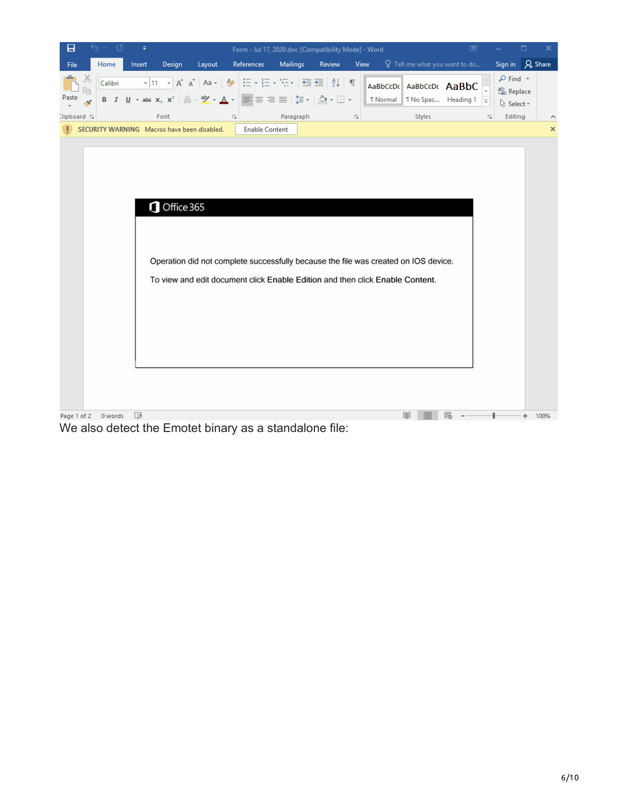| Sign in $\beta$ Share<br>$Q$ Tell me what you want to do<br><b>Mailings</b><br>Design<br>References<br>Home<br>Layout<br>Review<br>View<br>File<br>Insert<br>$\mathcal{P}$ Find $\tau$<br>86<br>Calibri<br>AaBbCcDc AaBbCcDc AaBbC<br>酯<br>ab Replace<br><b>B</b> $I$ $\underline{\mathsf{U}}$ $\star$ abe $\mathsf{x}_2$ $\mathsf{x}^2$ $\left[\begin{array}{c c} \mathbb{A} & \star \mathbb{B} \end{array} \right]$ $\star$ $\underline{\mathsf{A}}$ $\star$ $\left[\begin{array}{c c} \mathbb{B} & \mathbb{B} \end{array} \right]$ $\equiv$ $\equiv$ $\equiv$ $\underline{\equiv}$ $\left[\begin{array}{c c} \mathbb{B} & \star & \mathbb{B} \end{array} \right]$ $\star$ $\underline{\mathsf{B}}$<br>Paste<br><b>T</b> Normal<br>1 No Spac Heading 1<br>$\equiv$<br>ि Select <del>-</del><br>Paragraph<br>Editing<br>Slipboard G<br>Font<br>Styles<br>$\overline{\mathbb{F}_M}$<br>$\overline{\mathbb{F}_\mathbb{R}}$<br>履<br>SECURITY WARNING Macros have been disabled.<br>Enable Content<br>×<br>Office 365<br>Operation did not complete successfully because the file was created on IOS device.<br>To view and edit document click Enable Edition and then click Enable Content.<br>$\Box$<br>Page 1 of 2 0 words<br>闥<br>R<br>100% | 日 | - 0 | $\overline{\mathbf{v}}$ |  | Form - Jul 17, 2020.doc [Compatibility Mode] - Word |  |  | 囨 |  | $\Box$<br>× |
|-----------------------------------------------------------------------------------------------------------------------------------------------------------------------------------------------------------------------------------------------------------------------------------------------------------------------------------------------------------------------------------------------------------------------------------------------------------------------------------------------------------------------------------------------------------------------------------------------------------------------------------------------------------------------------------------------------------------------------------------------------------------------------------------------------------------------------------------------------------------------------------------------------------------------------------------------------------------------------------------------------------------------------------------------------------------------------------------------------------------------------------------------------------------------------------------------------------------------------------------------|---|-----|-------------------------|--|-----------------------------------------------------|--|--|---|--|-------------|
|                                                                                                                                                                                                                                                                                                                                                                                                                                                                                                                                                                                                                                                                                                                                                                                                                                                                                                                                                                                                                                                                                                                                                                                                                                               |   |     |                         |  |                                                     |  |  |   |  |             |
|                                                                                                                                                                                                                                                                                                                                                                                                                                                                                                                                                                                                                                                                                                                                                                                                                                                                                                                                                                                                                                                                                                                                                                                                                                               |   |     |                         |  |                                                     |  |  |   |  |             |
|                                                                                                                                                                                                                                                                                                                                                                                                                                                                                                                                                                                                                                                                                                                                                                                                                                                                                                                                                                                                                                                                                                                                                                                                                                               |   |     |                         |  |                                                     |  |  |   |  |             |
|                                                                                                                                                                                                                                                                                                                                                                                                                                                                                                                                                                                                                                                                                                                                                                                                                                                                                                                                                                                                                                                                                                                                                                                                                                               |   |     |                         |  |                                                     |  |  |   |  |             |
|                                                                                                                                                                                                                                                                                                                                                                                                                                                                                                                                                                                                                                                                                                                                                                                                                                                                                                                                                                                                                                                                                                                                                                                                                                               |   |     |                         |  |                                                     |  |  |   |  |             |

We also detect the Emotet binary as a standalone file: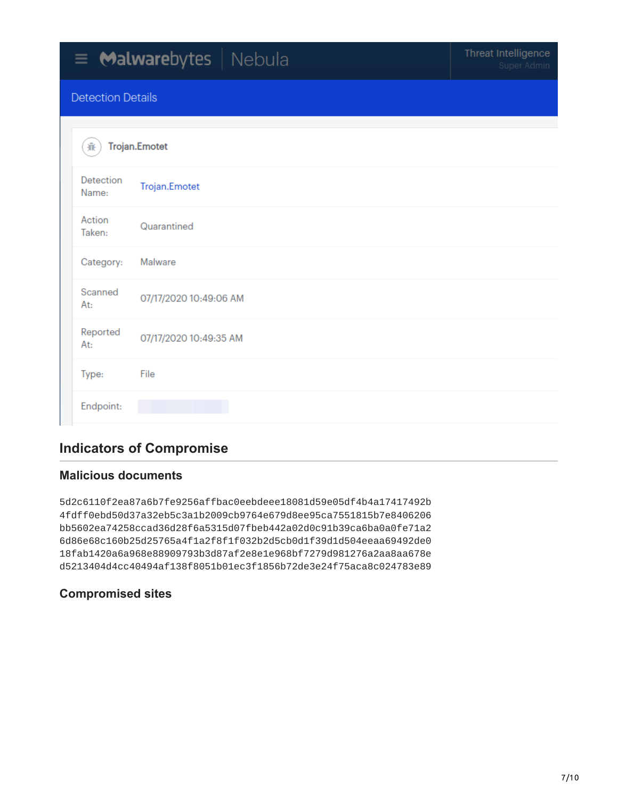# $\equiv$  Malwarebytes | Nebula

#### **Detection Details**

| 棄                  | <b>Trojan.Emotet</b>   |  |  |  |  |  |
|--------------------|------------------------|--|--|--|--|--|
| Detection<br>Name: | Trojan.Emotet          |  |  |  |  |  |
| Action<br>Taken:   | Quarantined            |  |  |  |  |  |
| Category:          | Malware                |  |  |  |  |  |
| Scanned<br>At:     | 07/17/2020 10:49:06 AM |  |  |  |  |  |
| Reported<br>At:    | 07/17/2020 10:49:35 AM |  |  |  |  |  |
| Type:              | File                   |  |  |  |  |  |
| Endpoint:          |                        |  |  |  |  |  |

## **Indicators of Compromise**

#### **Malicious documents**

5d2c6110f2ea87a6b7fe9256affbac0eebdeee18081d59e05df4b4a17417492b 4fdff0ebd50d37a32eb5c3a1b2009cb9764e679d8ee95ca7551815b7e8406206 bb5602ea74258ccad36d28f6a5315d07fbeb442a02d0c91b39ca6ba0a0fe71a2 6d86e68c160b25d25765a4f1a2f8f1f032b2d5cb0d1f39d1d504eeaa69492de0 18fab1420a6a968e88909793b3d87af2e8e1e968bf7279d981276a2aa8aa678e d5213404d4cc40494af138f8051b01ec3f1856b72de3e24f75aca8c024783e89

#### **Compromised sites**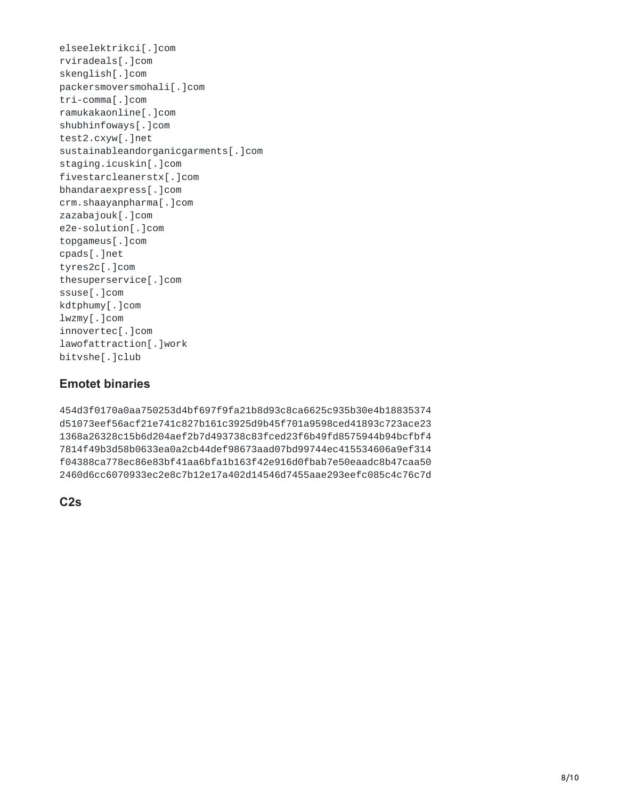elseelektrikci[.]com rviradeals[.]com skenglish[.]com packersmoversmohali[.]com tri-comma[.]com ramukakaonline[.]com shubhinfoways[.]com test2.cxyw[.]net sustainableandorganicgarments[.]com staging.icuskin[.]com fivestarcleanerstx[.]com bhandaraexpress[.]com crm.shaayanpharma[.]com zazabajouk[.]com e2e-solution[.]com topgameus[.]com cpads[.]net tyres2c[.]com thesuperservice[.]com ssuse[.]com kdtphumy[.]com lwzmy[.]com innovertec[.]com lawofattraction[.]work bitvshe[.]club

#### **Emotet binaries**

454d3f0170a0aa750253d4bf697f9fa21b8d93c8ca6625c935b30e4b18835374 d51073eef56acf21e741c827b161c3925d9b45f701a9598ced41893c723ace23 1368a26328c15b6d204aef2b7d493738c83fced23f6b49fd8575944b94bcfbf4 7814f49b3d58b0633ea0a2cb44def98673aad07bd99744ec415534606a9ef314 f04388ca778ec86e83bf41aa6bfa1b163f42e916d0fbab7e50eaadc8b47caa50 2460d6cc6070933ec2e8c7b12e17a402d14546d7455aae293eefc085c4c76c7d

**C2s**